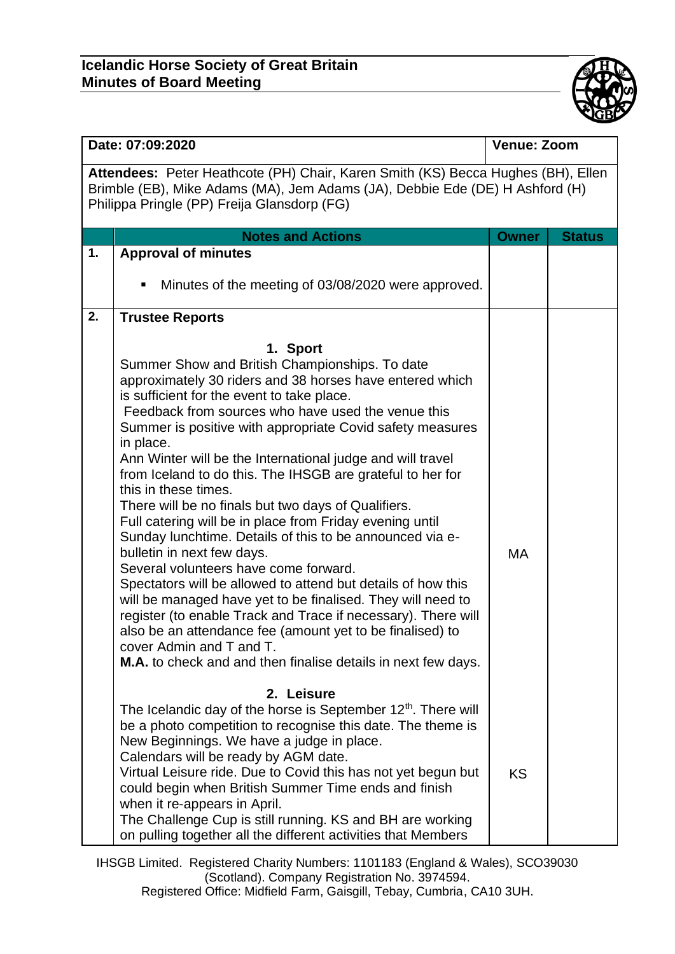

| Date: 07:09:2020                                                                                                                                                                                                |                                                                                                                                                                                                                                                                                                                                                                                                                                                                                                                                                                                                                                                                                                                                                                                                                                                                                                                                                                                                                                                                          | <b>Venue: Zoom</b> |               |  |  |
|-----------------------------------------------------------------------------------------------------------------------------------------------------------------------------------------------------------------|--------------------------------------------------------------------------------------------------------------------------------------------------------------------------------------------------------------------------------------------------------------------------------------------------------------------------------------------------------------------------------------------------------------------------------------------------------------------------------------------------------------------------------------------------------------------------------------------------------------------------------------------------------------------------------------------------------------------------------------------------------------------------------------------------------------------------------------------------------------------------------------------------------------------------------------------------------------------------------------------------------------------------------------------------------------------------|--------------------|---------------|--|--|
| Attendees: Peter Heathcote (PH) Chair, Karen Smith (KS) Becca Hughes (BH), Ellen<br>Brimble (EB), Mike Adams (MA), Jem Adams (JA), Debbie Ede (DE) H Ashford (H)<br>Philippa Pringle (PP) Freija Glansdorp (FG) |                                                                                                                                                                                                                                                                                                                                                                                                                                                                                                                                                                                                                                                                                                                                                                                                                                                                                                                                                                                                                                                                          |                    |               |  |  |
|                                                                                                                                                                                                                 | <b>Notes and Actions</b>                                                                                                                                                                                                                                                                                                                                                                                                                                                                                                                                                                                                                                                                                                                                                                                                                                                                                                                                                                                                                                                 | <b>Owner</b>       | <b>Status</b> |  |  |
| 1.                                                                                                                                                                                                              | <b>Approval of minutes</b><br>Minutes of the meeting of 03/08/2020 were approved.<br>٠                                                                                                                                                                                                                                                                                                                                                                                                                                                                                                                                                                                                                                                                                                                                                                                                                                                                                                                                                                                   |                    |               |  |  |
| 2.                                                                                                                                                                                                              | <b>Trustee Reports</b>                                                                                                                                                                                                                                                                                                                                                                                                                                                                                                                                                                                                                                                                                                                                                                                                                                                                                                                                                                                                                                                   |                    |               |  |  |
|                                                                                                                                                                                                                 | 1. Sport<br>Summer Show and British Championships. To date<br>approximately 30 riders and 38 horses have entered which<br>is sufficient for the event to take place.<br>Feedback from sources who have used the venue this<br>Summer is positive with appropriate Covid safety measures<br>in place.<br>Ann Winter will be the International judge and will travel<br>from Iceland to do this. The IHSGB are grateful to her for<br>this in these times.<br>There will be no finals but two days of Qualifiers.<br>Full catering will be in place from Friday evening until<br>Sunday lunchtime. Details of this to be announced via e-<br>bulletin in next few days.<br>Several volunteers have come forward.<br>Spectators will be allowed to attend but details of how this<br>will be managed have yet to be finalised. They will need to<br>register (to enable Track and Trace if necessary). There will<br>also be an attendance fee (amount yet to be finalised) to<br>cover Admin and T and T.<br>M.A. to check and and then finalise details in next few days. | <b>MA</b>          |               |  |  |
|                                                                                                                                                                                                                 | 2. Leisure<br>The Icelandic day of the horse is September 12 <sup>th</sup> . There will<br>be a photo competition to recognise this date. The theme is<br>New Beginnings. We have a judge in place.<br>Calendars will be ready by AGM date.<br>Virtual Leisure ride. Due to Covid this has not yet begun but<br>could begin when British Summer Time ends and finish<br>when it re-appears in April.<br>The Challenge Cup is still running. KS and BH are working<br>on pulling together all the different activities that Members                                                                                                                                                                                                                                                                                                                                                                                                                                                                                                                                       | <b>KS</b>          |               |  |  |

IHSGB Limited. Registered Charity Numbers: 1101183 (England & Wales), SCO39030 (Scotland). Company Registration No. 3974594.

Registered Office: Midfield Farm, Gaisgill, Tebay, Cumbria, CA10 3UH.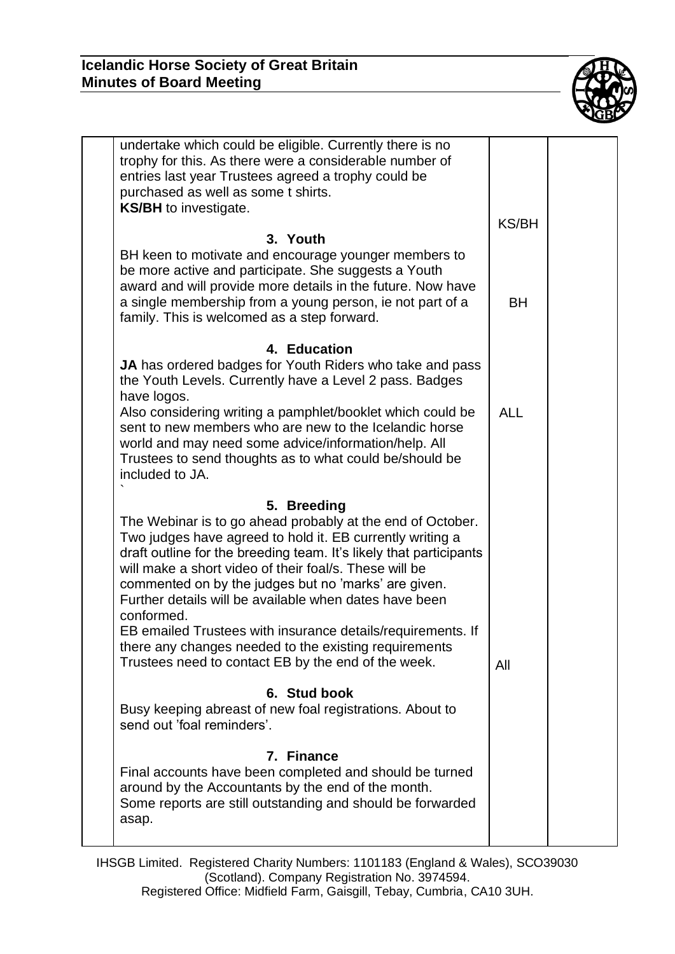

| undertake which could be eligible. Currently there is no<br>trophy for this. As there were a considerable number of<br>entries last year Trustees agreed a trophy could be<br>purchased as well as some t shirts.<br><b>KS/BH</b> to investigate.                                                                                                                                                                                                                                                                                                                      | <b>KS/BH</b> |  |
|------------------------------------------------------------------------------------------------------------------------------------------------------------------------------------------------------------------------------------------------------------------------------------------------------------------------------------------------------------------------------------------------------------------------------------------------------------------------------------------------------------------------------------------------------------------------|--------------|--|
| 3. Youth                                                                                                                                                                                                                                                                                                                                                                                                                                                                                                                                                               |              |  |
| BH keen to motivate and encourage younger members to<br>be more active and participate. She suggests a Youth<br>award and will provide more details in the future. Now have<br>a single membership from a young person, ie not part of a<br>family. This is welcomed as a step forward.                                                                                                                                                                                                                                                                                | <b>BH</b>    |  |
| 4. Education                                                                                                                                                                                                                                                                                                                                                                                                                                                                                                                                                           |              |  |
| JA has ordered badges for Youth Riders who take and pass<br>the Youth Levels. Currently have a Level 2 pass. Badges<br>have logos.                                                                                                                                                                                                                                                                                                                                                                                                                                     |              |  |
| Also considering writing a pamphlet/booklet which could be<br>sent to new members who are new to the Icelandic horse<br>world and may need some advice/information/help. All<br>Trustees to send thoughts as to what could be/should be<br>included to JA.                                                                                                                                                                                                                                                                                                             | <b>ALL</b>   |  |
| 5. Breeding                                                                                                                                                                                                                                                                                                                                                                                                                                                                                                                                                            |              |  |
| The Webinar is to go ahead probably at the end of October.<br>Two judges have agreed to hold it. EB currently writing a<br>draft outline for the breeding team. It's likely that participants<br>will make a short video of their foal/s. These will be<br>commented on by the judges but no 'marks' are given.<br>Further details will be available when dates have been<br>conformed.<br>EB emailed Trustees with insurance details/requirements. If<br>there any changes needed to the existing requirements<br>Trustees need to contact EB by the end of the week. | All          |  |
| 6. Stud book                                                                                                                                                                                                                                                                                                                                                                                                                                                                                                                                                           |              |  |
| Busy keeping abreast of new foal registrations. About to<br>send out 'foal reminders'.                                                                                                                                                                                                                                                                                                                                                                                                                                                                                 |              |  |
| 7. Finance<br>Final accounts have been completed and should be turned<br>around by the Accountants by the end of the month.<br>Some reports are still outstanding and should be forwarded<br>asap.                                                                                                                                                                                                                                                                                                                                                                     |              |  |
|                                                                                                                                                                                                                                                                                                                                                                                                                                                                                                                                                                        |              |  |

IHSGB Limited. Registered Charity Numbers: 1101183 (England & Wales), SCO39030 (Scotland). Company Registration No. 3974594. Registered Office: Midfield Farm, Gaisgill, Tebay, Cumbria, CA10 3UH.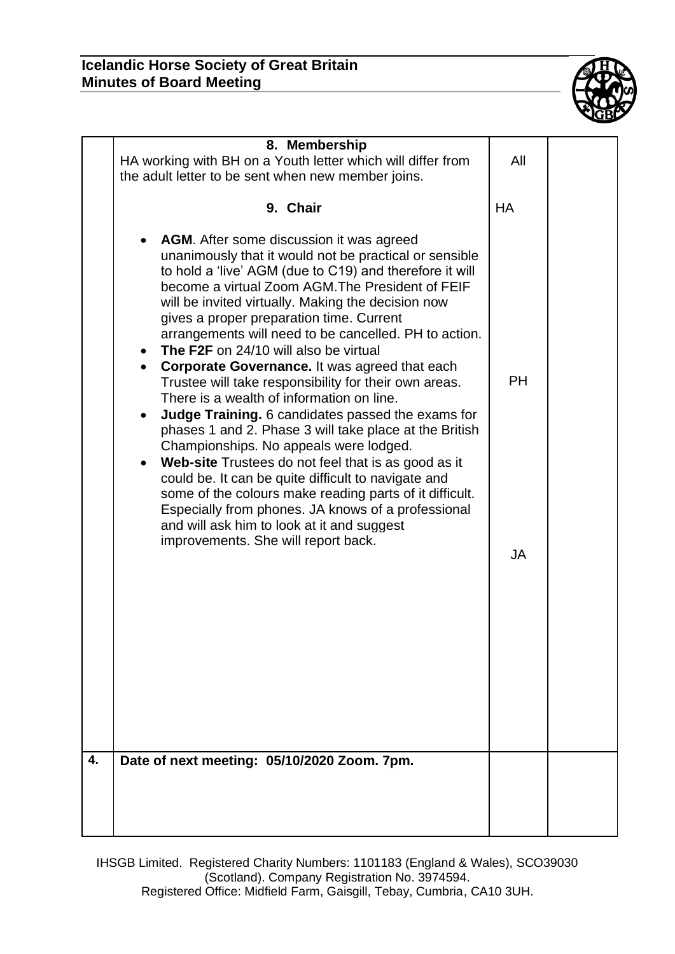

|    | 8. Membership<br>HA working with BH on a Youth letter which will differ from<br>the adult letter to be sent when new member joins.                                                                                                                                                                                                                                                                                                                                                                                                                                                                                                                                                                                                                                                                                                                                                                                                                                                                                                                                                                                         | All                    |
|----|----------------------------------------------------------------------------------------------------------------------------------------------------------------------------------------------------------------------------------------------------------------------------------------------------------------------------------------------------------------------------------------------------------------------------------------------------------------------------------------------------------------------------------------------------------------------------------------------------------------------------------------------------------------------------------------------------------------------------------------------------------------------------------------------------------------------------------------------------------------------------------------------------------------------------------------------------------------------------------------------------------------------------------------------------------------------------------------------------------------------------|------------------------|
|    | 9. Chair                                                                                                                                                                                                                                                                                                                                                                                                                                                                                                                                                                                                                                                                                                                                                                                                                                                                                                                                                                                                                                                                                                                   | <b>HA</b>              |
|    | <b>AGM.</b> After some discussion it was agreed<br>unanimously that it would not be practical or sensible<br>to hold a 'live' AGM (due to C19) and therefore it will<br>become a virtual Zoom AGM. The President of FEIF<br>will be invited virtually. Making the decision now<br>gives a proper preparation time. Current<br>arrangements will need to be cancelled. PH to action.<br><b>The F2F</b> on 24/10 will also be virtual<br>٠<br><b>Corporate Governance.</b> It was agreed that each<br>$\bullet$<br>Trustee will take responsibility for their own areas.<br>There is a wealth of information on line.<br>Judge Training. 6 candidates passed the exams for<br>$\bullet$<br>phases 1 and 2. Phase 3 will take place at the British<br>Championships. No appeals were lodged.<br>Web-site Trustees do not feel that is as good as it<br>$\bullet$<br>could be. It can be quite difficult to navigate and<br>some of the colours make reading parts of it difficult.<br>Especially from phones. JA knows of a professional<br>and will ask him to look at it and suggest<br>improvements. She will report back. | <b>PH</b><br><b>JA</b> |
| 4. | Date of next meeting: 05/10/2020 Zoom. 7pm.                                                                                                                                                                                                                                                                                                                                                                                                                                                                                                                                                                                                                                                                                                                                                                                                                                                                                                                                                                                                                                                                                |                        |
|    |                                                                                                                                                                                                                                                                                                                                                                                                                                                                                                                                                                                                                                                                                                                                                                                                                                                                                                                                                                                                                                                                                                                            |                        |

IHSGB Limited. Registered Charity Numbers: 1101183 (England & Wales), SCO39030 (Scotland). Company Registration No. 3974594. Registered Office: Midfield Farm, Gaisgill, Tebay, Cumbria, CA10 3UH.